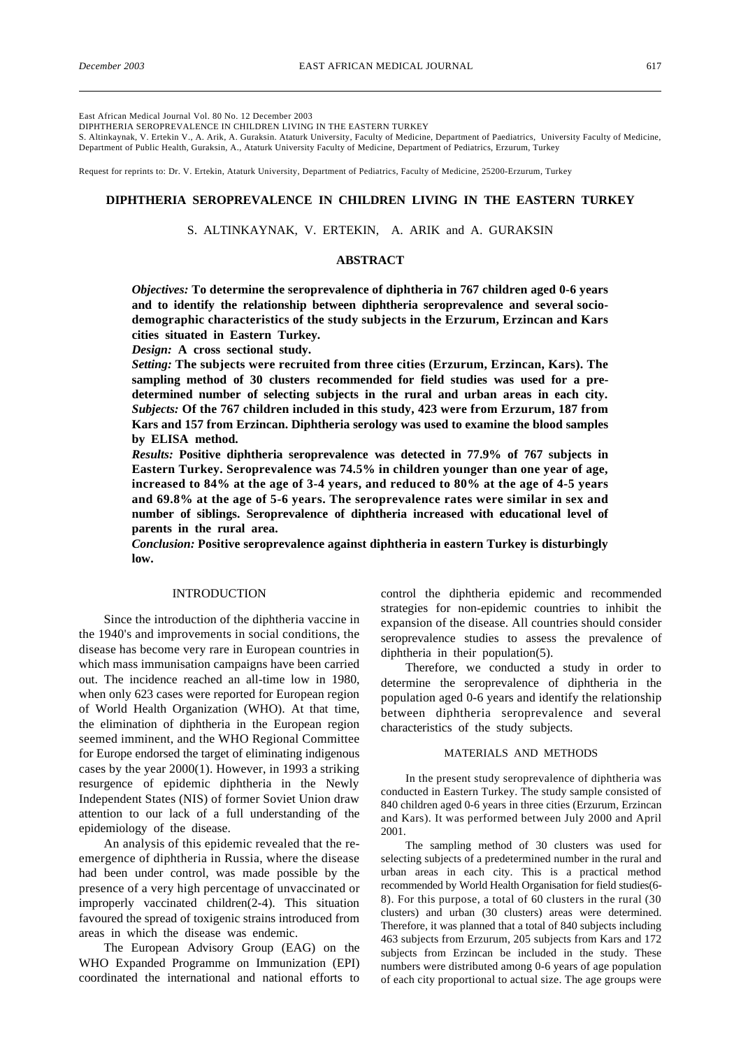East African Medical Journal Vol. 80 No. 12 December 2003

DIPHTHERIA SEROPREVALENCE IN CHILDREN LIVING IN THE EASTERN TURKEY

S. Altinkaynak, V. Ertekin V., A. Arik, A. Guraksin. Ataturk University, Faculty of Medicine, Department of Paediatrics, University Faculty of Medicine, Department of Public Health, Guraksin, A., Ataturk University Faculty of Medicine, Department of Pediatrics, Erzurum, Turkey

Request for reprints to: Dr. V. Ertekin, Ataturk University, Department of Pediatrics, Faculty of Medicine, 25200-Erzurum, Turkey

# **DIPHTHERIA SEROPREVALENCE IN CHILDREN LIVING IN THE EASTERN TURKEY**

# S. ALTINKAYNAK, V. ERTEKIN, A. ARIK and A. GURAKSIN

## **ABSTRACT**

*Objectives:* **To determine the seroprevalence of diphtheria in 767 children aged 0-6 years and to identify the relationship between diphtheria seroprevalence and several sociodemographic characteristics of the study subjects in the Erzurum, Erzincan and Kars cities situated in Eastern Turkey.**

*Design:* **A cross sectional study.**

*Setting:* **The subjects were recruited from three cities (Erzurum, Erzincan, Kars). The sampling method of 30 clusters recommended for field studies was used for a predetermined number of selecting subjects in the rural and urban areas in each city.** *Subjects:* **Of the 767 children included in this study, 423 were from Erzurum, 187 from Kars and 157 from Erzincan. Diphtheria serology was used to examine the blood samples by ELISA method.**

*Results:* **Positive diphtheria seroprevalence was detected in 77.9% of 767 subjects in Eastern Turkey. Seroprevalence was 74.5% in children younger than one year of age, increased to 84% at the age of 3-4 years, and reduced to 80% at the age of 4-5 years and 69.8% at the age of 5-6 years. The seroprevalence rates were similar in sex and number of siblings. Seroprevalence of diphtheria increased with educational level of parents in the rural area.**

*Conclusion:* **Positive seroprevalence against diphtheria in eastern Turkey is disturbingly low.**

#### INTRODUCTION

Since the introduction of the diphtheria vaccine in the 1940's and improvements in social conditions, the disease has become very rare in European countries in which mass immunisation campaigns have been carried out. The incidence reached an all-time low in 1980, when only 623 cases were reported for European region of World Health Organization (WHO). At that time, the elimination of diphtheria in the European region seemed imminent, and the WHO Regional Committee for Europe endorsed the target of eliminating indigenous cases by the year 2000(1). However, in 1993 a striking resurgence of epidemic diphtheria in the Newly Independent States (NIS) of former Soviet Union draw attention to our lack of a full understanding of the epidemiology of the disease.

An analysis of this epidemic revealed that the reemergence of diphtheria in Russia, where the disease had been under control, was made possible by the presence of a very high percentage of unvaccinated or improperly vaccinated children(2-4). This situation favoured the spread of toxigenic strains introduced from areas in which the disease was endemic.

The European Advisory Group (EAG) on the WHO Expanded Programme on Immunization (EPI) coordinated the international and national efforts to control the diphtheria epidemic and recommended strategies for non-epidemic countries to inhibit the expansion of the disease. All countries should consider seroprevalence studies to assess the prevalence of diphtheria in their population(5).

Therefore, we conducted a study in order to determine the seroprevalence of diphtheria in the population aged 0-6 years and identify the relationship between diphtheria seroprevalence and several characteristics of the study subjects.

#### MATERIALS AND METHODS

In the present study seroprevalence of diphtheria was conducted in Eastern Turkey. The study sample consisted of 840 children aged 0-6 years in three cities (Erzurum, Erzincan and Kars). It was performed between July 2000 and April 2001.

The sampling method of 30 clusters was used for selecting subjects of a predetermined number in the rural and urban areas in each city. This is a practical method recommended by World Health Organisation for field studies(6- 8). For this purpose, a total of 60 clusters in the rural (30 clusters) and urban (30 clusters) areas were determined. Therefore, it was planned that a total of 840 subjects including 463 subjects from Erzurum, 205 subjects from Kars and 172 subjects from Erzincan be included in the study. These numbers were distributed among 0-6 years of age population of each city proportional to actual size. The age groups were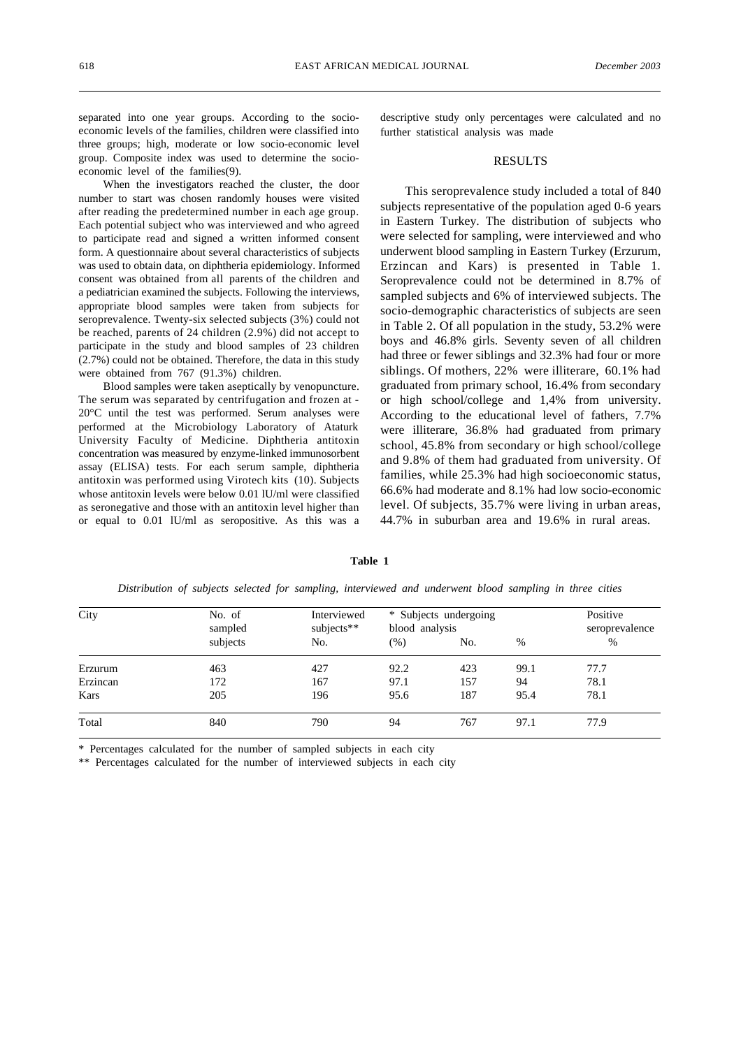separated into one year groups. According to the socioeconomic levels of the families, children were classified into three groups; high, moderate or low socio-economic level group. Composite index was used to determine the socioeconomic level of the families(9).

When the investigators reached the cluster, the door number to start was chosen randomly houses were visited after reading the predetermined number in each age group. Each potential subject who was interviewed and who agreed to participate read and signed a written informed consent form. A questionnaire about several characteristics of subjects was used to obtain data, on diphtheria epidemiology. Informed consent was obtained from all parents of the children and a pediatrician examined the subjects. Following the interviews, appropriate blood samples were taken from subjects for seroprevalence. Twenty-six selected subjects (3%) could not be reached, parents of 24 children (2.9%) did not accept to participate in the study and blood samples of 23 children (2.7%) could not be obtained. Therefore, the data in this study were obtained from 767 (91.3%) children.

Blood samples were taken aseptically by venopuncture. The serum was separated by centrifugation and frozen at - 20°C until the test was performed. Serum analyses were performed at the Microbiology Laboratory of Ataturk University Faculty of Medicine. Diphtheria antitoxin concentration was measured by enzyme-linked immunosorbent assay (ELISA) tests. For each serum sample, diphtheria antitoxin was performed using Virotech kits (10). Subjects whose antitoxin levels were below 0.01 lU/ml were classified as seronegative and those with an antitoxin level higher than or equal to 0.01 lU/ml as seropositive. As this was a

descriptive study only percentages were calculated and no further statistical analysis was made

### RESULTS

This seroprevalence study included a total of 840 subjects representative of the population aged 0-6 years in Eastern Turkey. The distribution of subjects who were selected for sampling, were interviewed and who underwent blood sampling in Eastern Turkey (Erzurum, Erzincan and Kars) is presented in Table 1. Seroprevalence could not be determined in 8.7% of sampled subjects and 6% of interviewed subjects. The socio-demographic characteristics of subjects are seen in Table 2. Of all population in the study, 53.2% were boys and 46.8% girls. Seventy seven of all children had three or fewer siblings and 32.3% had four or more siblings. Of mothers, 22% were illiterare, 60.1% had graduated from primary school, 16.4% from secondary or high school/college and 1,4% from university. According to the educational level of fathers, 7.7% were illiterare, 36.8% had graduated from primary school, 45.8% from secondary or high school/college and 9.8% of them had graduated from university. Of families, while 25.3% had high socioeconomic status, 66.6% had moderate and 8.1% had low socio-economic level. Of subjects, 35.7% were living in urban areas, 44.7% in suburban area and 19.6% in rural areas.

| City     | No. of<br>sampled<br>subjects | Interviewed<br>subjects**<br>No. | * Subjects undergoing<br>blood analysis |     |      | Positive<br>seroprevalence |
|----------|-------------------------------|----------------------------------|-----------------------------------------|-----|------|----------------------------|
|          |                               |                                  | $(\% )$                                 | No. | $\%$ | $\frac{0}{0}$              |
| Erzurum  | 463                           | 427                              | 92.2                                    | 423 | 99.1 | 77.7                       |
| Erzincan | 172                           | 167                              | 97.1                                    | 157 | 94   | 78.1                       |
| Kars     | 205                           | 196                              | 95.6                                    | 187 | 95.4 | 78.1                       |
| Total    | 840                           | 790                              | 94                                      | 767 | 97.1 | 77.9                       |

*Distribution of subjects selected for sampling, interviewed and underwent blood sampling in three cities*

**Table 1**

Percentages calculated for the number of sampled subjects in each city

\*\* Percentages calculated for the number of interviewed subjects in each city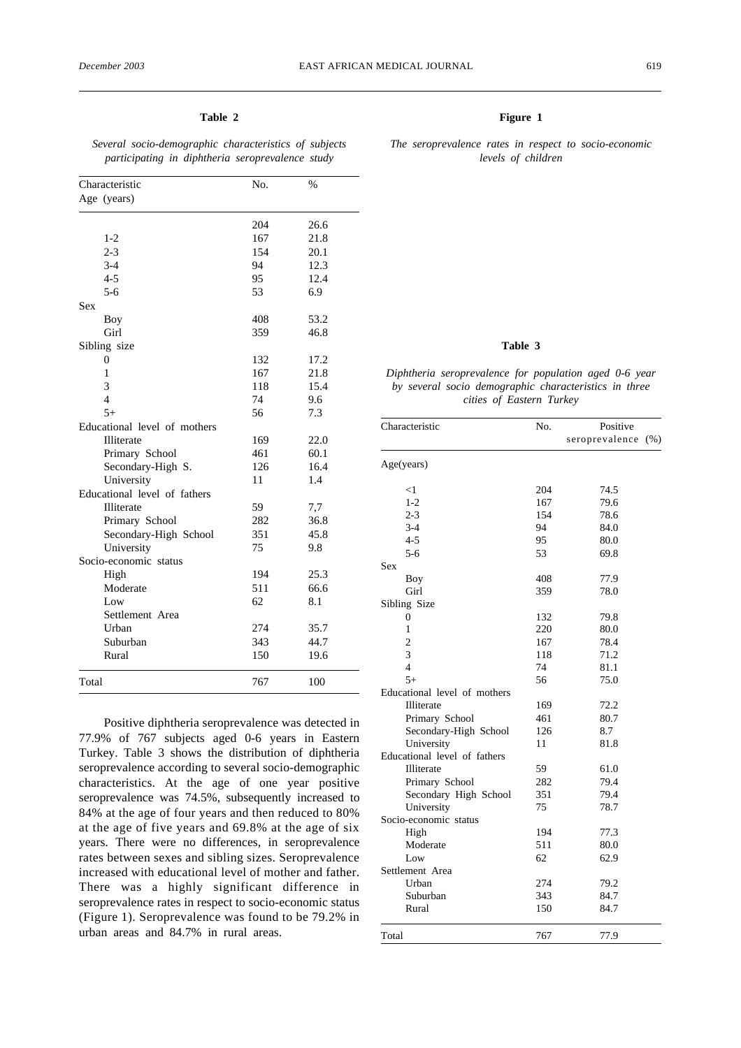# **Table 2**

*Several socio-demographic characteristics of subjects participating in diphtheria seroprevalence study*

| Characteristic |                              | No. | $\%$ |
|----------------|------------------------------|-----|------|
|                | Age (years)                  |     |      |
|                |                              | 204 | 26.6 |
|                | $1 - 2$                      | 167 | 21.8 |
|                | $2 - 3$                      | 154 | 20.1 |
|                | $3-4$                        | 94  | 12.3 |
|                | $4 - 5$                      | 95  | 12.4 |
|                | $5 - 6$                      | 53  | 6.9  |
| Sex            |                              |     |      |
|                | Boy                          | 408 | 53.2 |
|                | Girl                         | 359 | 46.8 |
|                | Sibling size                 |     |      |
|                | 0                            | 132 | 17.2 |
|                | $\mathbf{1}$                 | 167 | 21.8 |
|                | 3                            | 118 | 15.4 |
|                | $\overline{4}$               | 74  | 9.6  |
|                | $5+$                         | 56  | 7.3  |
|                | Educational level of mothers |     |      |
|                | Illiterate                   | 169 | 22.0 |
|                | Primary School               | 461 | 60.1 |
|                | Secondary-High S.            | 126 | 16.4 |
|                | University                   | 11  | 1.4  |
|                | Educational level of fathers |     |      |
|                | Illiterate                   | 59  | 7,7  |
|                | Primary School               | 282 | 36.8 |
|                | Secondary-High School        | 351 | 45.8 |
|                | University                   | 75  | 9.8  |
|                | Socio-economic status        |     |      |
|                | High                         | 194 | 25.3 |
|                | Moderate                     | 511 | 66.6 |
|                | Low                          | 62  | 8.1  |
|                | Settlement Area              |     |      |
|                | Urban                        | 274 | 35.7 |
|                | Suburban                     | 343 | 44.7 |
|                | Rural                        | 150 | 19.6 |
| Total          |                              | 767 | 100  |

Positive diphtheria seroprevalence was detected in 77.9% of 767 subjects aged 0-6 years in Eastern Turkey. Table 3 shows the distribution of diphtheria seroprevalence according to several socio-demographic characteristics. At the age of one year positive seroprevalence was 74.5%, subsequently increased to 84% at the age of four years and then reduced to 80% at the age of five years and 69.8% at the age of six years. There were no differences, in seroprevalence rates between sexes and sibling sizes. Seroprevalence increased with educational level of mother and father. There was a highly significant difference in seroprevalence rates in respect to socio-economic status (Figure 1). Seroprevalence was found to be 79.2% in urban areas and 84.7% in rural areas.

## **Figure 1**

### *The seroprevalence rates in respect to socio-economic levels of children*

## **Table 3**

## *Diphtheria seroprevalence for population aged 0-6 year by several socio demographic characteristics in three cities of Eastern Turkey*

| Characteristic               | No. | Positive       |      |  |
|------------------------------|-----|----------------|------|--|
|                              |     | seroprevalence | (% ) |  |
| Age(years)                   |     |                |      |  |
| $<$ 1                        | 204 | 74.5           |      |  |
| $1 - 2$                      | 167 | 79.6           |      |  |
| $2 - 3$                      | 154 | 78.6           |      |  |
| $3 - 4$                      | 94  | 84.0           |      |  |
| $4 - 5$                      | 95  | 80.0           |      |  |
| $5 - 6$                      | 53  | 69.8           |      |  |
| Sex                          |     |                |      |  |
| Boy                          | 408 | 77.9           |      |  |
| Girl                         | 359 | 78.0           |      |  |
| Sibling Size                 |     |                |      |  |
| 0                            | 132 | 79.8           |      |  |
| 1                            | 220 | 80.0           |      |  |
| $\overline{c}$               | 167 | 78.4           |      |  |
| 3                            | 118 | 71.2           |      |  |
| 4                            | 74  | 81.1           |      |  |
| $5+$                         | 56  | 75.0           |      |  |
| Educational level of mothers |     |                |      |  |
| Illiterate                   | 169 | 72.2           |      |  |
| Primary School               | 461 | 80.7           |      |  |
| Secondary-High School        | 126 | 8.7            |      |  |
| University                   | 11  | 81.8           |      |  |
| Educational level of fathers |     |                |      |  |
| Illiterate                   | 59  | 61.0           |      |  |
| Primary School               | 282 | 79.4           |      |  |
| Secondary High School        | 351 | 79.4           |      |  |
| University                   | 75  | 78.7           |      |  |
| Socio-economic status        |     |                |      |  |
| High                         | 194 | 77.3           |      |  |
| Moderate                     | 511 | 80.0           |      |  |
| Low                          | 62  | 62.9           |      |  |
| Settlement Area              |     |                |      |  |
| Urban                        | 274 | 79.2           |      |  |
| Suburban                     | 343 | 84.7           |      |  |
| Rural                        | 150 | 84.7           |      |  |
| Total                        | 767 | 77.9           |      |  |
|                              |     |                |      |  |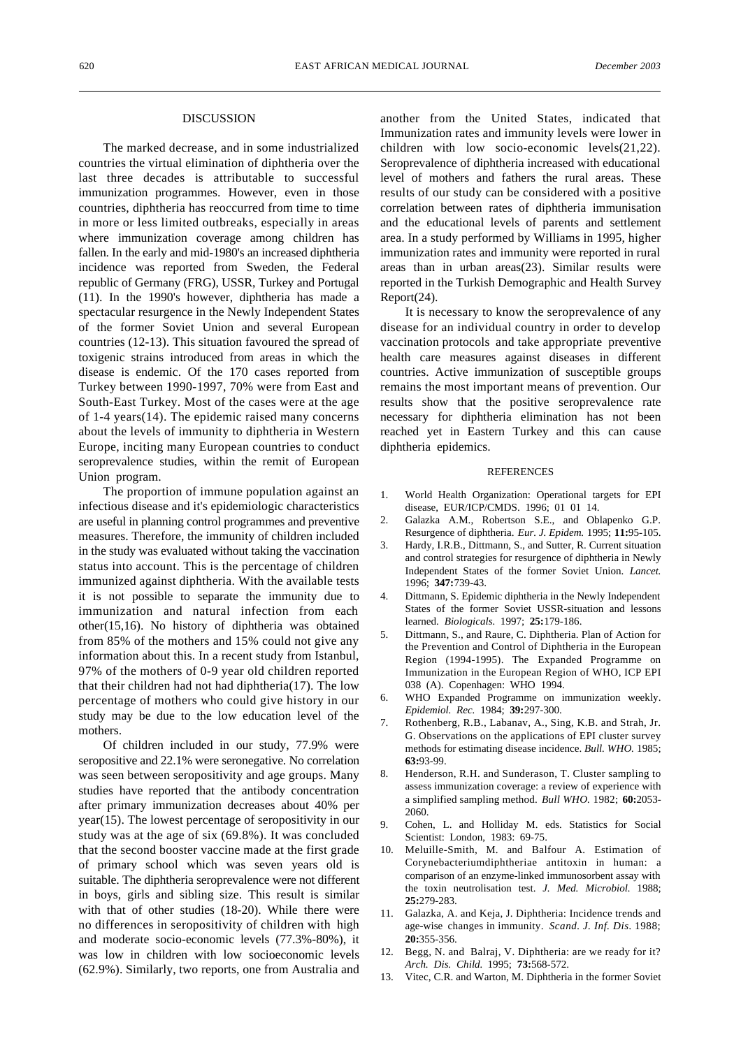### DISCUSSION

The marked decrease, and in some industrialized countries the virtual elimination of diphtheria over the last three decades is attributable to successful immunization programmes. However, even in those countries, diphtheria has reoccurred from time to time in more or less limited outbreaks, especially in areas where immunization coverage among children has fallen. In the early and mid-1980's an increased diphtheria incidence was reported from Sweden, the Federal republic of Germany (FRG), USSR, Turkey and Portugal (11). In the 1990's however, diphtheria has made a spectacular resurgence in the Newly Independent States of the former Soviet Union and several European countries (12-13). This situation favoured the spread of toxigenic strains introduced from areas in which the disease is endemic. Of the 170 cases reported from Turkey between 1990-1997, 70% were from East and South-East Turkey. Most of the cases were at the age of 1-4 years(14). The epidemic raised many concerns about the levels of immunity to diphtheria in Western Europe, inciting many European countries to conduct seroprevalence studies, within the remit of European Union program.

The proportion of immune population against an infectious disease and it's epidemiologic characteristics are useful in planning control programmes and preventive measures. Therefore, the immunity of children included in the study was evaluated without taking the vaccination status into account. This is the percentage of children immunized against diphtheria. With the available tests it is not possible to separate the immunity due to immunization and natural infection from each other(15,16). No history of diphtheria was obtained from 85% of the mothers and 15% could not give any information about this. In a recent study from Istanbul, 97% of the mothers of 0-9 year old children reported that their children had not had diphtheria(17). The low percentage of mothers who could give history in our study may be due to the low education level of the mothers.

Of children included in our study, 77.9% were seropositive and 22.1% were seronegative. No correlation was seen between seropositivity and age groups. Many studies have reported that the antibody concentration after primary immunization decreases about 40% per year(15). The lowest percentage of seropositivity in our study was at the age of six (69.8%). It was concluded that the second booster vaccine made at the first grade of primary school which was seven years old is suitable. The diphtheria seroprevalence were not different in boys, girls and sibling size. This result is similar with that of other studies (18-20). While there were no differences in seropositivity of children with high and moderate socio-economic levels (77.3%-80%), it was low in children with low socioeconomic levels (62.9%). Similarly, two reports, one from Australia and another from the United States, indicated that Immunization rates and immunity levels were lower in children with low socio-economic levels(21,22). Seroprevalence of diphtheria increased with educational level of mothers and fathers the rural areas. These results of our study can be considered with a positive correlation between rates of diphtheria immunisation and the educational levels of parents and settlement area. In a study performed by Williams in 1995, higher immunization rates and immunity were reported in rural areas than in urban areas(23). Similar results were reported in the Turkish Demographic and Health Survey Report(24).

It is necessary to know the seroprevalence of any disease for an individual country in order to develop vaccination protocols and take appropriate preventive health care measures against diseases in different countries. Active immunization of susceptible groups remains the most important means of prevention. Our results show that the positive seroprevalence rate necessary for diphtheria elimination has not been reached yet in Eastern Turkey and this can cause diphtheria epidemics.

#### **REFERENCES**

- 1. World Health Organization: Operational targets for EPI disease, EUR/ICP/CMDS. 1996; 01 01 14.
- 2. Galazka A.M., Robertson S.E., and Oblapenko G.P. Resurgence of diphtheria. *Eur. J. Epidem.* 1995; **11:**95-105.
- 3. Hardy, I.R.B., Dittmann, S., and Sutter, R. Current situation and control strategies for resurgence of diphtheria in Newly Independent States of the former Soviet Union. *Lancet.* 1996; **347:**739-43.
- Dittmann, S. Epidemic diphtheria in the Newly Independent States of the former Soviet USSR-situation and lessons learned. *Biologicals.* 1997; **25:**179-186.
- 5. Dittmann, S., and Raure, C. Diphtheria. Plan of Action for the Prevention and Control of Diphtheria in the European Region (1994-1995). The Expanded Programme on Immunization in the European Region of WHO, ICP EPI 038 (A). Copenhagen: WHO 1994.
- 6. WHO Expanded Programme on immunization weekly. *Epidemiol. Rec.* 1984; **39:**297-300.
- 7. Rothenberg, R.B., Labanav, A., Sing, K.B. and Strah, Jr. G. Observations on the applications of EPI cluster survey methods for estimating disease incidence. *Bull. WHO.* 1985; **63:**93-99.
- 8. Henderson, R.H. and Sunderason, T. Cluster sampling to assess immunization coverage: a review of experience with a simplified sampling method. *Bull WHO.* 1982; **60:**2053- 2060.
- 9. Cohen, L. and Holliday M. eds. Statistics for Social Scientist: London, 1983: 69-75.
- 10. Meluille-Smith, M. and Balfour A. Estimation of Corynebacteriumdiphtheriae antitoxin in human: a comparison of an enzyme-linked immunosorbent assay with the toxin neutrolisation test. *J. Med. Microbiol.* 1988; **25:**279-283.
- 11. Galazka, A. and Keja, J. Diphtheria: Incidence trends and age-wise changes in immunity. *Scand. J. Inf. Dis.* 1988; **20:**355-356.
- 12. Begg, N. and Balraj, V. Diphtheria: are we ready for it? *Arch. Dis. Child.* 1995; **73:**568-572.
- 13. Vitec, C.R. and Warton, M. Diphtheria in the former Soviet